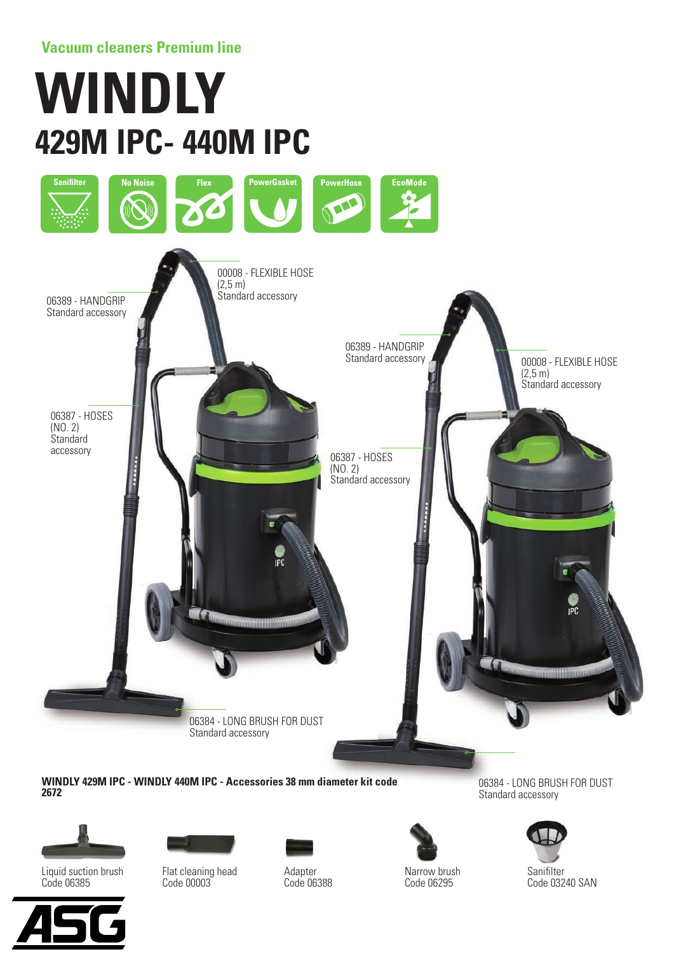## **Vacuum cleaners Premium line**

# **WINDLY 429M IPC- 440M IPC**



**WINDLY 429M IPC - WINDLY 440M IPC - Accessories 38 mm diameter kit code 2672**







Flat cleaning head Code 00003

Adapter Code 06388



Narrow brush Code 06295

06384 - LONG BRUSH FOR DUST Standard accessory



**Sanifilter** Code 03240 SAN